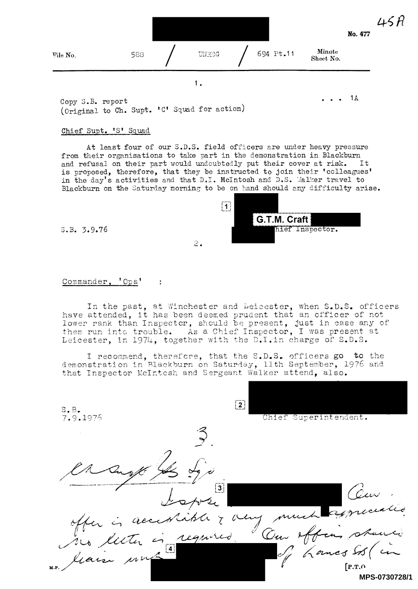

Copy S.B. report (Original to Ch. Supt. 'C' Squad for action)

## Chief Supt. 'S' Squad

<sup>A</sup>t least four of our S.D.S. field officers are under heavy pressure from their organisations to take part in the demonstration in Blackburn <sup>a</sup>nd refusal on their part would undoubtedly put their cover at risk. It is proposed, therefore, that they be instructed to join their 'colleagues' in the day's activities and that D.I. McIntosh and D.S. Malker travel to <sup>B</sup>lackburn on the Saturday morning to be on hand should any difficulty arise.

 $2.$ 



 $1A$ 

 $\cdots$ 

5.B. 3.9.76

## Commander, 'Ops'  $\frac{1}{2}$

<sup>I</sup>n the past, at Winchest have attended, it has been de lower rank than Inspector, sh <sup>o</sup>uld be present, just in case any of them run into trouble. As <sup>a</sup> Chief Inspector, I was present at <sup>L</sup>eicester, in 1974, together <sup>w</sup>ith the D.I.in charge of S.D.S. er and Leicester, when S.D.S. officers <sup>e</sup>med prudent that an officer of not

I recommend, therefore, that the S.D.S. officers go to the demonstration in Blackburn on Saturday, 11th September, 1976 and <sup>t</sup>hat Inspector McIntosh and S <sup>e</sup>rgeant Walker attend, also.

 $\boxed{2}$ S.B. 7.9.1976 Chief Superintendent. 3 Cen Cour  $\vert 3 \vert$ offer is acceptable 7 Lancs St  $[$  P.T.O. **MPS-0730728/1**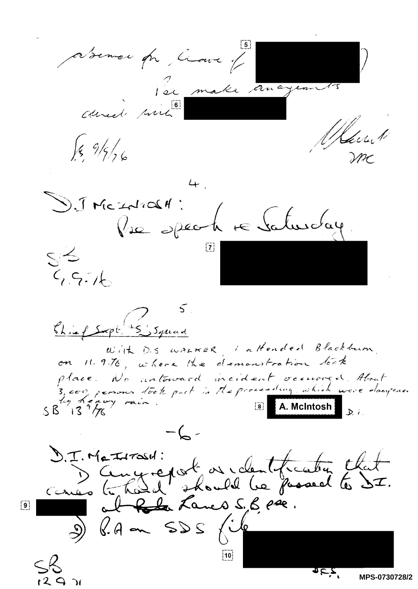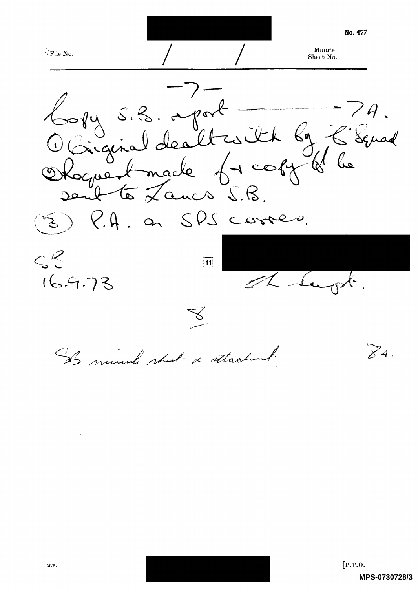No. 477 Minute -!'File No. Sheet No. Copy S.B. aport 79.<br>Occiginal dealtraith by E. Senad<br>Okoguest made freohy of he P.A. on SPS corres.  $\mathcal{L}_{\mathcal{L}}$  $\leq$  $\boxed{11}$ 169.73 The Sea X.  $\triangledown_{A}$  . IS minute shot & ottached.

 $\sim$